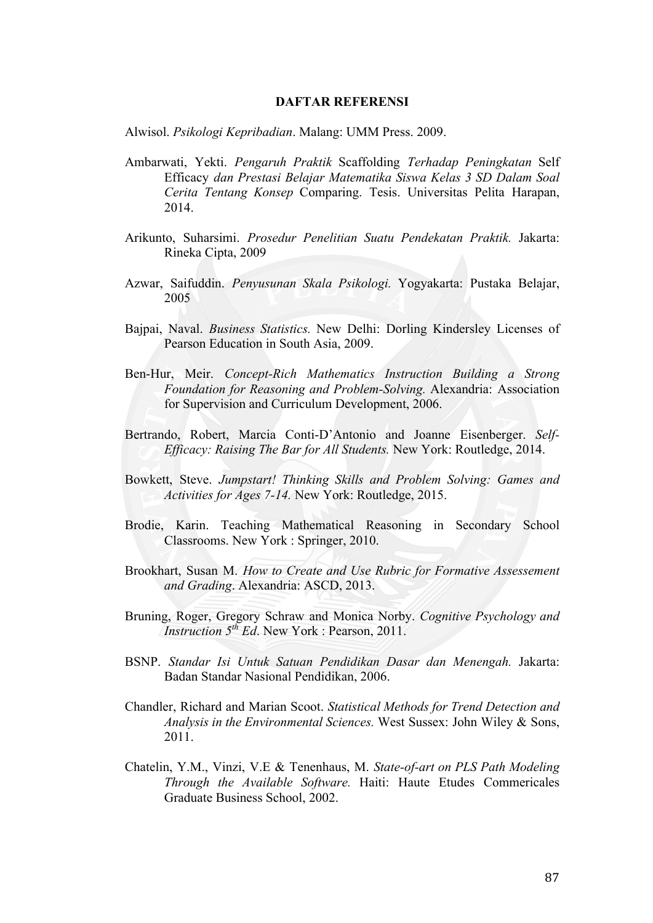## **DAFTAR REFERENSI**

Alwisol. *Psikologi Kepribadian*. Malang: UMM Press. 2009.

- Ambarwati, Yekti. *Pengaruh Praktik* Scaffolding *Terhadap Peningkatan* Self Efficacy *dan Prestasi Belajar Matematika Siswa Kelas 3 SD Dalam Soal Cerita Tentang Konsep* Comparing. Tesis. Universitas Pelita Harapan, 2014.
- Arikunto, Suharsimi. *Prosedur Penelitian Suatu Pendekatan Praktik.* Jakarta: Rineka Cipta, 2009
- Azwar, Saifuddin. *Penyusunan Skala Psikologi.* Yogyakarta: Pustaka Belajar, 2005
- Bajpai, Naval. *Business Statistics.* New Delhi: Dorling Kindersley Licenses of Pearson Education in South Asia, 2009.
- Ben-Hur, Meir. *Concept-Rich Mathematics Instruction Building a Strong Foundation for Reasoning and Problem-Solving.* Alexandria: Association for Supervision and Curriculum Development, 2006.
- Bertrando, Robert, Marcia Conti-D'Antonio and Joanne Eisenberger. *Self-Efficacy: Raising The Bar for All Students.* New York: Routledge, 2014.
- Bowkett, Steve. *Jumpstart! Thinking Skills and Problem Solving: Games and Activities for Ages 7-14.* New York: Routledge, 2015.
- Brodie, Karin. Teaching Mathematical Reasoning in Secondary School Classrooms. New York : Springer, 2010.
- Brookhart, Susan M. *How to Create and Use Rubric for Formative Assessement and Grading*. Alexandria: ASCD, 2013.
- Bruning, Roger, Gregory Schraw and Monica Norby. *Cognitive Psychology and Instruction*  $5^{th}$  *Ed*. New York · Pearson, 2011.
- BSNP. *Standar Isi Untuk Satuan Pendidikan Dasar dan Menengah.* Jakarta: Badan Standar Nasional Pendidikan, 2006.
- Chandler, Richard and Marian Scoot. *Statistical Methods for Trend Detection and Analysis in the Environmental Sciences.* West Sussex: John Wiley & Sons, 2011.
- Chatelin, Y.M., Vinzi, V.E & Tenenhaus, M. *State-of-art on PLS Path Modeling Through the Available Software.* Haiti: Haute Etudes Commericales Graduate Business School, 2002.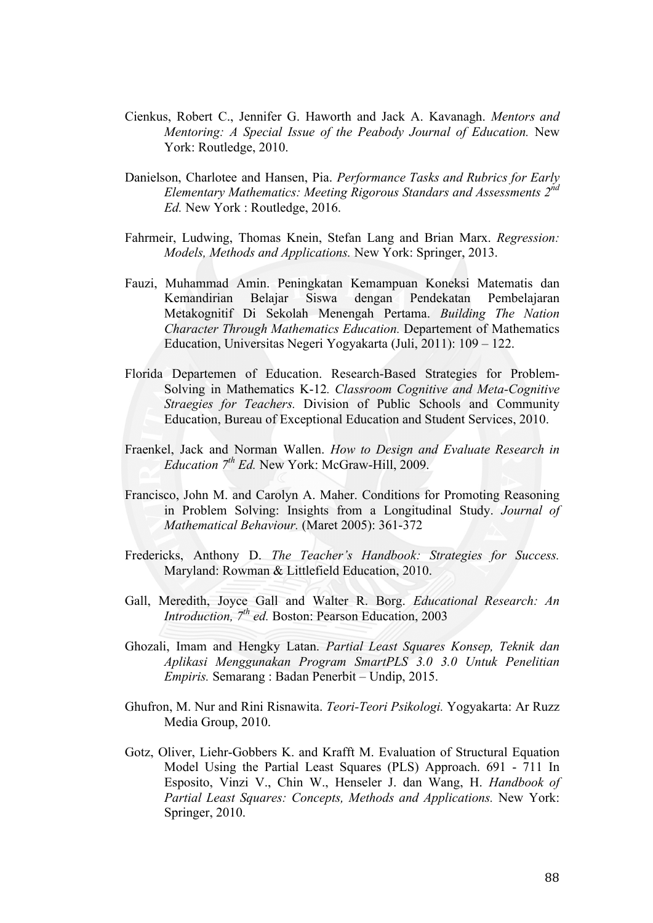- Cienkus, Robert C., Jennifer G. Haworth and Jack A. Kavanagh. *Mentors and Mentoring: A Special Issue of the Peabody Journal of Education.* New York: Routledge, 2010.
- Danielson, Charlotee and Hansen, Pia. *Performance Tasks and Rubrics for Early Elementary Mathematics: Meeting Rigorous Standars and Assessments 2nd Ed.* New York : Routledge, 2016.
- Fahrmeir, Ludwing, Thomas Knein, Stefan Lang and Brian Marx. *Regression: Models, Methods and Applications.* New York: Springer, 2013.
- Fauzi, Muhammad Amin. Peningkatan Kemampuan Koneksi Matematis dan Kemandirian Belajar Siswa dengan Pendekatan Pembelajaran Metakognitif Di Sekolah Menengah Pertama. *Building The Nation Character Through Mathematics Education.* Departement of Mathematics Education, Universitas Negeri Yogyakarta (Juli, 2011): 109 – 122.
- Florida Departemen of Education. Research-Based Strategies for Problem-Solving in Mathematics K-12*. Classroom Cognitive and Meta-Cognitive Straegies for Teachers.* Division of Public Schools and Community Education, Bureau of Exceptional Education and Student Services, 2010.
- Fraenkel, Jack and Norman Wallen. *How to Design and Evaluate Research in Education 7th Ed.* New York: McGraw-Hill, 2009.
- Francisco, John M. and Carolyn A. Maher. Conditions for Promoting Reasoning in Problem Solving: Insights from a Longitudinal Study. *Journal of Mathematical Behaviour.* (Maret 2005): 361-372
- Fredericks, Anthony D. *The Teacher's Handbook: Strategies for Success.*  Maryland: Rowman & Littlefield Education, 2010.
- Gall, Meredith, Joyce Gall and Walter R. Borg. *Educational Research: An Introduction, 7th ed.* Boston: Pearson Education, 2003
- Ghozali, Imam and Hengky Latan. *Partial Least Squares Konsep, Teknik dan Aplikasi Menggunakan Program SmartPLS 3.0 3.0 Untuk Penelitian Empiris.* Semarang : Badan Penerbit – Undip, 2015.
- Ghufron, M. Nur and Rini Risnawita. *Teori-Teori Psikologi.* Yogyakarta: Ar Ruzz Media Group, 2010.
- Gotz, Oliver, Liehr-Gobbers K. and Krafft M. Evaluation of Structural Equation Model Using the Partial Least Squares (PLS) Approach. 691 - 711 In Esposito, Vinzi V., Chin W., Henseler J. dan Wang, H. *Handbook of Partial Least Squares: Concepts, Methods and Applications.* New York: Springer, 2010.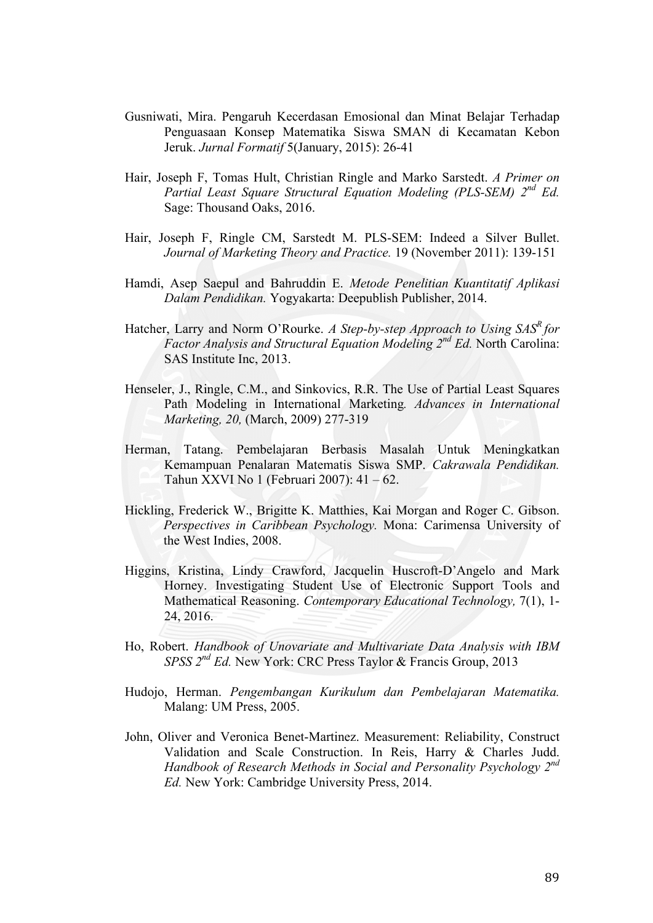- Gusniwati, Mira. Pengaruh Kecerdasan Emosional dan Minat Belajar Terhadap Penguasaan Konsep Matematika Siswa SMAN di Kecamatan Kebon Jeruk. *Jurnal Formatif* 5(January, 2015): 26-41
- Hair, Joseph F, Tomas Hult, Christian Ringle and Marko Sarstedt. *A Primer on Partial Least Square Structural Equation Modeling (PLS-SEM) 2nd Ed.*  Sage: Thousand Oaks, 2016.
- Hair, Joseph F, Ringle CM, Sarstedt M. PLS-SEM: Indeed a Silver Bullet. *Journal of Marketing Theory and Practice.* 19 (November 2011): 139-151
- Hamdi, Asep Saepul and Bahruddin E. *Metode Penelitian Kuantitatif Aplikasi Dalam Pendidikan.* Yogyakarta: Deepublish Publisher, 2014.
- Hatcher, Larry and Norm O'Rourke. *A Step-by-step Approach to Using SAS<sup>R</sup> for Factor Analysis and Structural Equation Modeling 2nd Ed.* North Carolina: SAS Institute Inc, 2013.
- Henseler, J., Ringle, C.M., and Sinkovics, R.R. The Use of Partial Least Squares Path Modeling in International Marketing*. Advances in International Marketing, 20,* (March, 2009) 277-319
- Herman, Tatang. Pembelajaran Berbasis Masalah Untuk Meningkatkan Kemampuan Penalaran Matematis Siswa SMP. *Cakrawala Pendidikan.*  Tahun XXVI No 1 (Februari 2007): 41 – 62.
- Hickling, Frederick W., Brigitte K. Matthies, Kai Morgan and Roger C. Gibson. *Perspectives in Caribbean Psychology.* Mona: Carimensa University of the West Indies, 2008.
- Higgins, Kristina, Lindy Crawford, Jacquelin Huscroft-D'Angelo and Mark Horney. Investigating Student Use of Electronic Support Tools and Mathematical Reasoning. *Contemporary Educational Technology,* 7(1), 1- 24, 2016.
- Ho, Robert. *Handbook of Unovariate and Multivariate Data Analysis with IBM SPSS 2nd Ed.* New York: CRC Press Taylor & Francis Group, 2013
- Hudojo, Herman. *Pengembangan Kurikulum dan Pembelajaran Matematika.*  Malang: UM Press, 2005.
- John, Oliver and Veronica Benet-Martinez. Measurement: Reliability, Construct Validation and Scale Construction. In Reis, Harry & Charles Judd. *Handbook of Research Methods in Social and Personality Psychology 2nd Ed.* New York: Cambridge University Press, 2014.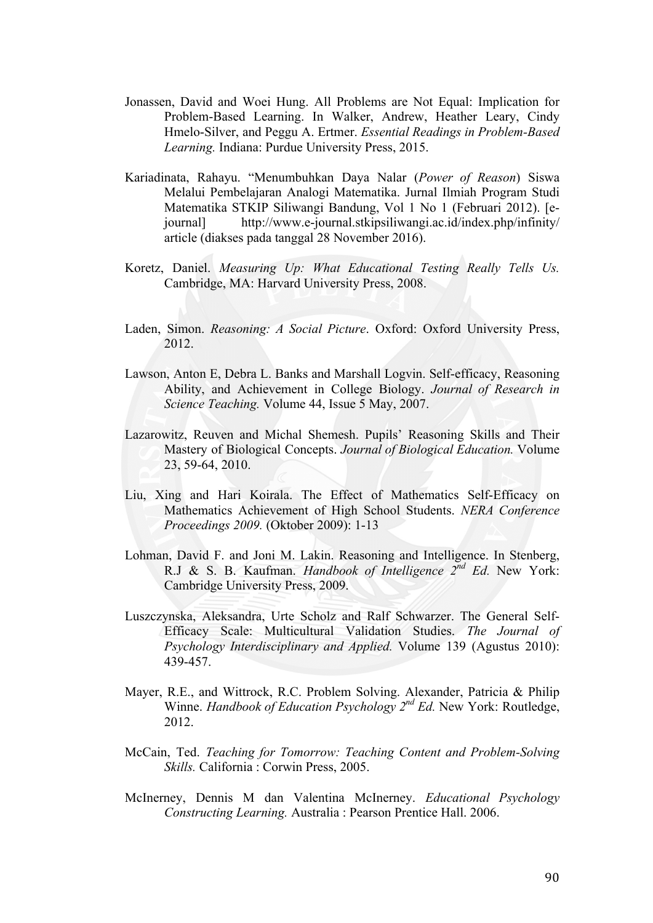- Jonassen, David and Woei Hung. All Problems are Not Equal: Implication for Problem-Based Learning. In Walker, Andrew, Heather Leary, Cindy Hmelo-Silver, and Peggu A. Ertmer. *Essential Readings in Problem-Based Learning.* Indiana: Purdue University Press, 2015.
- Kariadinata, Rahayu. "Menumbuhkan Daya Nalar (*Power of Reason*) Siswa Melalui Pembelajaran Analogi Matematika. Jurnal Ilmiah Program Studi Matematika STKIP Siliwangi Bandung, Vol 1 No 1 (Februari 2012). [ejournal] http://www.e-journal.stkipsiliwangi.ac.id/index.php/infinity/ article (diakses pada tanggal 28 November 2016).
- Koretz, Daniel. *Measuring Up: What Educational Testing Really Tells Us.*  Cambridge, MA: Harvard University Press, 2008.
- Laden, Simon. *Reasoning: A Social Picture*. Oxford: Oxford University Press, 2012.
- Lawson, Anton E, Debra L. Banks and Marshall Logvin. Self-efficacy, Reasoning Ability, and Achievement in College Biology. *Journal of Research in Science Teaching.* Volume 44, Issue 5 May, 2007.
- Lazarowitz, Reuven and Michal Shemesh. Pupils' Reasoning Skills and Their Mastery of Biological Concepts. *Journal of Biological Education.* Volume 23, 59-64, 2010.
- Liu, Xing and Hari Koirala. The Effect of Mathematics Self-Efficacy on Mathematics Achievement of High School Students. *NERA Conference Proceedings 2009.* (Oktober 2009): 1-13
- Lohman, David F. and Joni M. Lakin. Reasoning and Intelligence. In Stenberg, R.J & S. B. Kaufman. *Handbook of Intelligence 2nd Ed.* New York: Cambridge University Press, 2009.
- Luszczynska, Aleksandra, Urte Scholz and Ralf Schwarzer. The General Self-Efficacy Scale: Multicultural Validation Studies. *The Journal of Psychology Interdisciplinary and Applied.* Volume 139 (Agustus 2010): 439-457.
- Mayer, R.E., and Wittrock, R.C. Problem Solving. Alexander, Patricia & Philip Winne. *Handbook of Education Psychology 2nd Ed.* New York: Routledge, 2012.
- McCain, Ted. *Teaching for Tomorrow: Teaching Content and Problem-Solving Skills.* California : Corwin Press, 2005.
- McInerney, Dennis M dan Valentina McInerney. *Educational Psychology Constructing Learning.* Australia : Pearson Prentice Hall. 2006.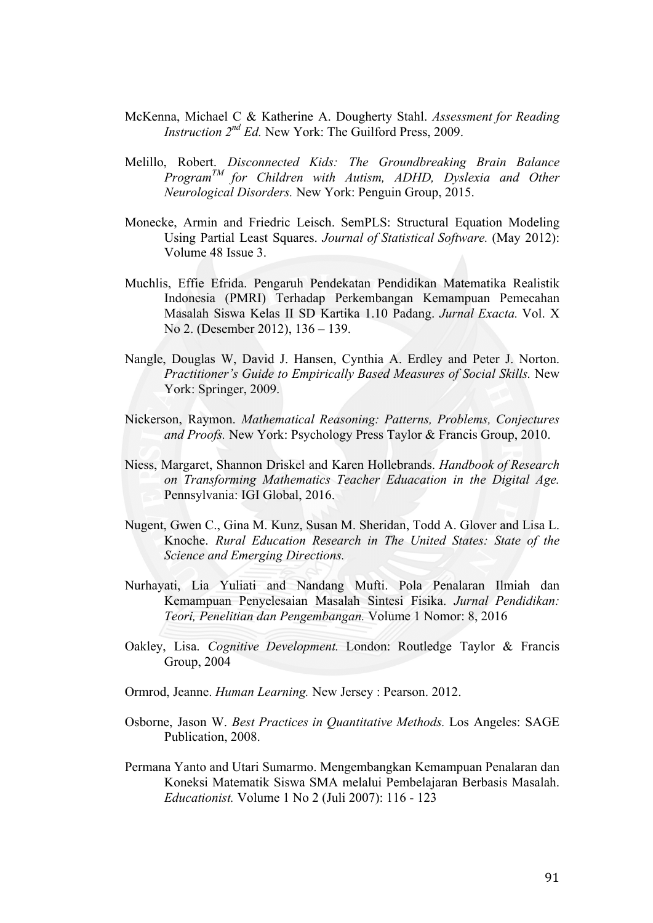- McKenna, Michael C & Katherine A. Dougherty Stahl. *Assessment for Reading Instruction 2nd Ed.* New York: The Guilford Press, 2009.
- Melillo, Robert. *Disconnected Kids: The Groundbreaking Brain Balance ProgramTM for Children with Autism, ADHD, Dyslexia and Other Neurological Disorders.* New York: Penguin Group, 2015.
- Monecke, Armin and Friedric Leisch. SemPLS: Structural Equation Modeling Using Partial Least Squares. *Journal of Statistical Software.* (May 2012): Volume 48 Issue 3.
- Muchlis, Effie Efrida. Pengaruh Pendekatan Pendidikan Matematika Realistik Indonesia (PMRI) Terhadap Perkembangan Kemampuan Pemecahan Masalah Siswa Kelas II SD Kartika 1.10 Padang. *Jurnal Exacta.* Vol. X No 2. (Desember 2012), 136 – 139.
- Nangle, Douglas W, David J. Hansen, Cynthia A. Erdley and Peter J. Norton. *Practitioner's Guide to Empirically Based Measures of Social Skills.* New York: Springer, 2009.
- Nickerson, Raymon. *Mathematical Reasoning: Patterns, Problems, Conjectures and Proofs.* New York: Psychology Press Taylor & Francis Group, 2010.
- Niess, Margaret, Shannon Driskel and Karen Hollebrands. *Handbook of Research on Transforming Mathematics Teacher Eduacation in the Digital Age.*  Pennsylvania: IGI Global, 2016.
- Nugent, Gwen C., Gina M. Kunz, Susan M. Sheridan, Todd A. Glover and Lisa L. Knoche. *Rural Education Research in The United States: State of the Science and Emerging Directions.*
- Nurhayati, Lia Yuliati and Nandang Mufti. Pola Penalaran Ilmiah dan Kemampuan Penyelesaian Masalah Sintesi Fisika. *Jurnal Pendidikan: Teori, Penelitian dan Pengembangan.* Volume 1 Nomor: 8, 2016
- Oakley, Lisa. *Cognitive Development.* London: Routledge Taylor & Francis Group, 2004
- Ormrod, Jeanne. *Human Learning.* New Jersey : Pearson. 2012.
- Osborne, Jason W. *Best Practices in Quantitative Methods.* Los Angeles: SAGE Publication, 2008.
- Permana Yanto and Utari Sumarmo. Mengembangkan Kemampuan Penalaran dan Koneksi Matematik Siswa SMA melalui Pembelajaran Berbasis Masalah. *Educationist.* Volume 1 No 2 (Juli 2007): 116 - 123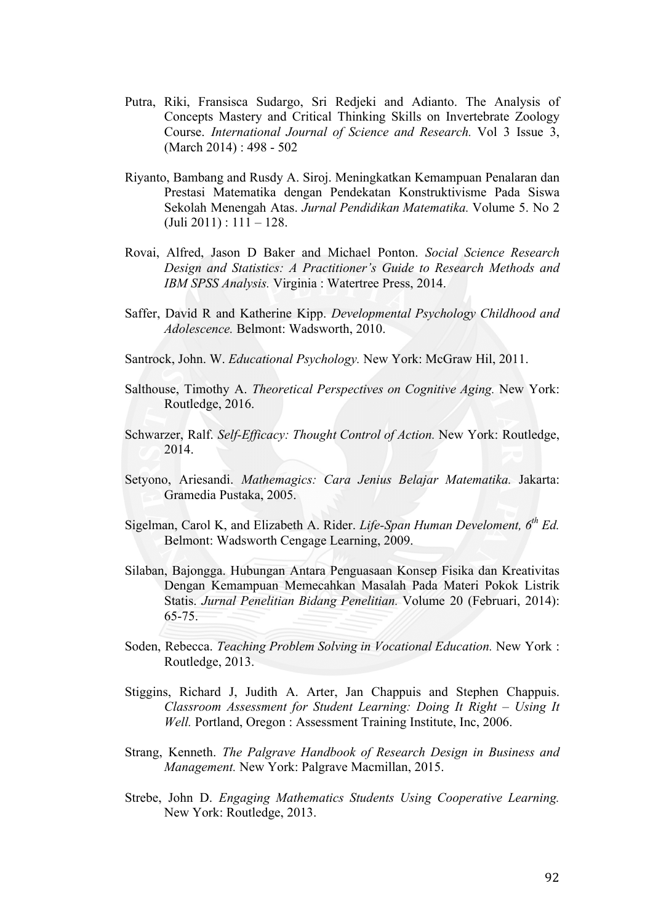- Putra, Riki, Fransisca Sudargo, Sri Redjeki and Adianto. The Analysis of Concepts Mastery and Critical Thinking Skills on Invertebrate Zoology Course. *International Journal of Science and Research.* Vol 3 Issue 3, (March 2014) : 498 - 502
- Riyanto, Bambang and Rusdy A. Siroj. Meningkatkan Kemampuan Penalaran dan Prestasi Matematika dengan Pendekatan Konstruktivisme Pada Siswa Sekolah Menengah Atas. *Jurnal Pendidikan Matematika.* Volume 5. No 2  $(Juli 2011): 111 - 128.$
- Rovai, Alfred, Jason D Baker and Michael Ponton. *Social Science Research Design and Statistics: A Practitioner's Guide to Research Methods and IBM SPSS Analysis.* Virginia : Watertree Press, 2014.
- Saffer, David R and Katherine Kipp. *Developmental Psychology Childhood and Adolescence.* Belmont: Wadsworth, 2010.
- Santrock, John. W. *Educational Psychology.* New York: McGraw Hil, 2011.
- Salthouse, Timothy A. *Theoretical Perspectives on Cognitive Aging.* New York: Routledge, 2016.
- Schwarzer, Ralf. *Self-Efficacy: Thought Control of Action.* New York: Routledge, 2014.
- Setyono, Ariesandi. *Mathemagics: Cara Jenius Belajar Matematika.* Jakarta: Gramedia Pustaka, 2005.
- Sigelman, Carol K, and Elizabeth A. Rider. *Life-Span Human Develoment, 6th Ed.*  Belmont: Wadsworth Cengage Learning, 2009.
- Silaban, Bajongga. Hubungan Antara Penguasaan Konsep Fisika dan Kreativitas Dengan Kemampuan Memecahkan Masalah Pada Materi Pokok Listrik Statis. *Jurnal Penelitian Bidang Penelitian.* Volume 20 (Februari, 2014): 65-75.
- Soden, Rebecca. *Teaching Problem Solving in Vocational Education.* New York : Routledge, 2013.
- Stiggins, Richard J, Judith A. Arter, Jan Chappuis and Stephen Chappuis. *Classroom Assessment for Student Learning: Doing It Right – Using It*  Well. Portland, Oregon : Assessment Training Institute, Inc, 2006.
- Strang, Kenneth. *The Palgrave Handbook of Research Design in Business and Management.* New York: Palgrave Macmillan, 2015.
- Strebe, John D. *Engaging Mathematics Students Using Cooperative Learning.*  New York: Routledge, 2013.